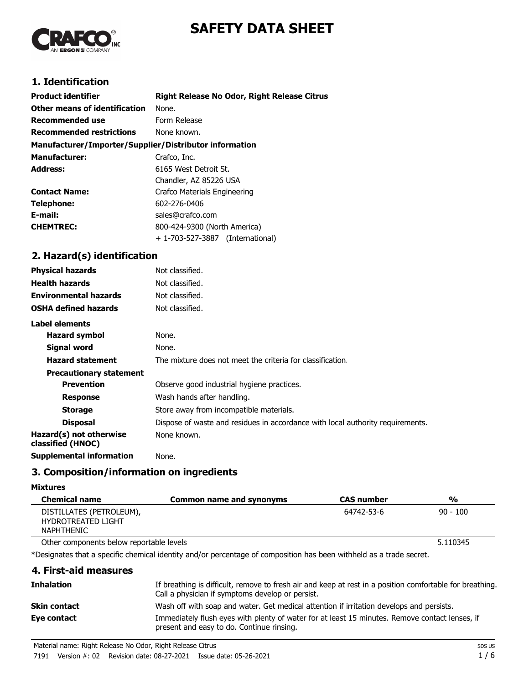# **SAFETY DATA SHEET**



# **1. Identification**

| <b>Product identifier</b>                              | <b>Right Release No Odor, Right Release Citrus</b> |
|--------------------------------------------------------|----------------------------------------------------|
| Other means of identification                          | None.                                              |
| <b>Recommended use</b>                                 | Form Release                                       |
| <b>Recommended restrictions</b>                        | None known.                                        |
| Manufacturer/Importer/Supplier/Distributor information |                                                    |
| <b>Manufacturer:</b>                                   | Crafco, Inc.                                       |
| <b>Address:</b>                                        | 6165 West Detroit St.                              |
|                                                        | Chandler, AZ 85226 USA                             |
| <b>Contact Name:</b>                                   | Crafco Materials Engineering                       |
| Telephone:                                             | 602-276-0406                                       |
| E-mail:                                                | sales@crafco.com                                   |
| <b>CHEMTREC:</b>                                       | 800-424-9300 (North America)                       |
|                                                        | + 1-703-527-3887 (International)                   |
| 2. Hazard(s) identification                            |                                                    |

| <b>Physical hazards</b>                      | Not classified.                                                                |
|----------------------------------------------|--------------------------------------------------------------------------------|
| <b>Health hazards</b>                        | Not classified.                                                                |
| <b>Environmental hazards</b>                 | Not classified.                                                                |
| <b>OSHA defined hazards</b>                  | Not classified.                                                                |
| Label elements                               |                                                                                |
| <b>Hazard symbol</b>                         | None.                                                                          |
| Signal word                                  | None.                                                                          |
| <b>Hazard statement</b>                      | The mixture does not meet the criteria for classification.                     |
| <b>Precautionary statement</b>               |                                                                                |
| <b>Prevention</b>                            | Observe good industrial hygiene practices.                                     |
| <b>Response</b>                              | Wash hands after handling.                                                     |
| <b>Storage</b>                               | Store away from incompatible materials.                                        |
| <b>Disposal</b>                              | Dispose of waste and residues in accordance with local authority requirements. |
| Hazard(s) not otherwise<br>classified (HNOC) | None known.                                                                    |
| <b>Supplemental information</b>              | None.                                                                          |

## **3. Composition/information on ingredients**

#### **Mixtures**

| <b>Chemical name</b>                                                | Common name and synonyms | <b>CAS number</b> | %          |
|---------------------------------------------------------------------|--------------------------|-------------------|------------|
| DISTILLATES (PETROLEUM),<br>HYDROTREATED LIGHT<br><b>NAPHTHENIC</b> |                          | 64742-53-6        | $90 - 100$ |

Other components below reportable levels **5.110345** 

\*Designates that a specific chemical identity and/or percentage of composition has been withheld as a trade secret.

## **4. First-aid measures**

| <b>Inhalation</b>   | If breathing is difficult, remove to fresh air and keep at rest in a position comfortable for breathing.<br>Call a physician if symptoms develop or persist. |
|---------------------|--------------------------------------------------------------------------------------------------------------------------------------------------------------|
| <b>Skin contact</b> | Wash off with soap and water. Get medical attention if irritation develops and persists.                                                                     |
| Eye contact         | Immediately flush eyes with plenty of water for at least 15 minutes. Remove contact lenses, if<br>present and easy to do. Continue rinsing.                  |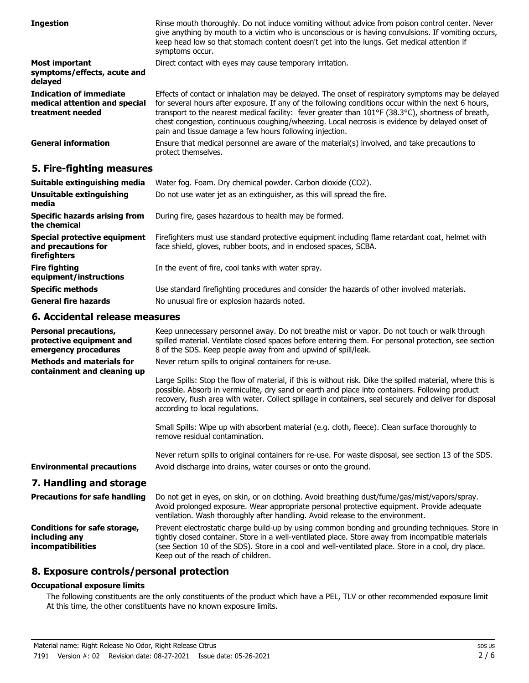| <b>Ingestion</b>                                                                    | Rinse mouth thoroughly. Do not induce vomiting without advice from poison control center. Never<br>give anything by mouth to a victim who is unconscious or is having convulsions. If vomiting occurs,<br>keep head low so that stomach content doesn't get into the lungs. Get medical attention if<br>symptoms occur.                                                                                                                                                     |
|-------------------------------------------------------------------------------------|-----------------------------------------------------------------------------------------------------------------------------------------------------------------------------------------------------------------------------------------------------------------------------------------------------------------------------------------------------------------------------------------------------------------------------------------------------------------------------|
| <b>Most important</b><br>symptoms/effects, acute and<br>delayed                     | Direct contact with eyes may cause temporary irritation.                                                                                                                                                                                                                                                                                                                                                                                                                    |
| <b>Indication of immediate</b><br>medical attention and special<br>treatment needed | Effects of contact or inhalation may be delayed. The onset of respiratory symptoms may be delayed<br>for several hours after exposure. If any of the following conditions occur within the next 6 hours,<br>transport to the nearest medical facility: fever greater than 101°F (38.3°C), shortness of breath,<br>chest congestion, continuous coughing/wheezing. Local necrosis is evidence by delayed onset of<br>pain and tissue damage a few hours following injection. |
| <b>General information</b>                                                          | Ensure that medical personnel are aware of the material(s) involved, and take precautions to<br>protect themselves.                                                                                                                                                                                                                                                                                                                                                         |

## **5. Fire-fighting measures**

| Suitable extinguishing media                                               | Water fog. Foam. Dry chemical powder. Carbon dioxide (CO2).                                                                                                         |
|----------------------------------------------------------------------------|---------------------------------------------------------------------------------------------------------------------------------------------------------------------|
| Unsuitable extinguishing<br>media                                          | Do not use water jet as an extinguisher, as this will spread the fire.                                                                                              |
| Specific hazards arising from<br>the chemical                              | During fire, gases hazardous to health may be formed.                                                                                                               |
| <b>Special protective equipment</b><br>and precautions for<br>firefighters | Firefighters must use standard protective equipment including flame retardant coat, helmet with<br>face shield, gloves, rubber boots, and in enclosed spaces, SCBA. |
| <b>Fire fighting</b><br>equipment/instructions                             | In the event of fire, cool tanks with water spray.                                                                                                                  |
| <b>Specific methods</b>                                                    | Use standard firefighting procedures and consider the hazards of other involved materials.                                                                          |
| <b>General fire hazards</b>                                                | No unusual fire or explosion hazards noted.                                                                                                                         |

## **6. Accidental release measures**

| <b>Personal precautions,</b><br>protective equipment and                  | Keep unnecessary personnel away. Do not breathe mist or vapor. Do not touch or walk through<br>spilled material. Ventilate closed spaces before entering them. For personal protection, see section                                                                                                                                                         |
|---------------------------------------------------------------------------|-------------------------------------------------------------------------------------------------------------------------------------------------------------------------------------------------------------------------------------------------------------------------------------------------------------------------------------------------------------|
| emergency procedures                                                      | 8 of the SDS. Keep people away from and upwind of spill/leak.                                                                                                                                                                                                                                                                                               |
| <b>Methods and materials for</b><br>containment and cleaning up           | Never return spills to original containers for re-use.                                                                                                                                                                                                                                                                                                      |
|                                                                           | Large Spills: Stop the flow of material, if this is without risk. Dike the spilled material, where this is<br>possible. Absorb in vermiculite, dry sand or earth and place into containers. Following product<br>recovery, flush area with water. Collect spillage in containers, seal securely and deliver for disposal<br>according to local regulations. |
|                                                                           | Small Spills: Wipe up with absorbent material (e.g. cloth, fleece). Clean surface thoroughly to<br>remove residual contamination.                                                                                                                                                                                                                           |
|                                                                           | Never return spills to original containers for re-use. For waste disposal, see section 13 of the SDS.                                                                                                                                                                                                                                                       |
| <b>Environmental precautions</b>                                          | Avoid discharge into drains, water courses or onto the ground.                                                                                                                                                                                                                                                                                              |
| 7. Handling and storage                                                   |                                                                                                                                                                                                                                                                                                                                                             |
| <b>Precautions for safe handling</b>                                      | Do not get in eyes, on skin, or on clothing. Avoid breathing dust/fume/gas/mist/vapors/spray.<br>Avoid prolonged exposure. Wear appropriate personal protective equipment. Provide adequate<br>ventilation. Wash thoroughly after handling. Avoid release to the environment.                                                                               |
| <b>Conditions for safe storage,</b><br>including any<br>incompatibilities | Prevent electrostatic charge build-up by using common bonding and grounding techniques. Store in<br>tightly closed container. Store in a well-ventilated place. Store away from incompatible materials<br>(see Section 10 of the SDS). Store in a cool and well-ventilated place. Store in a cool, dry place.                                               |

## **8. Exposure controls/personal protection**

#### **Occupational exposure limits**

The following constituents are the only constituents of the product which have a PEL, TLV or other recommended exposure limit. At this time, the other constituents have no known exposure limits.

Keep out of the reach of children.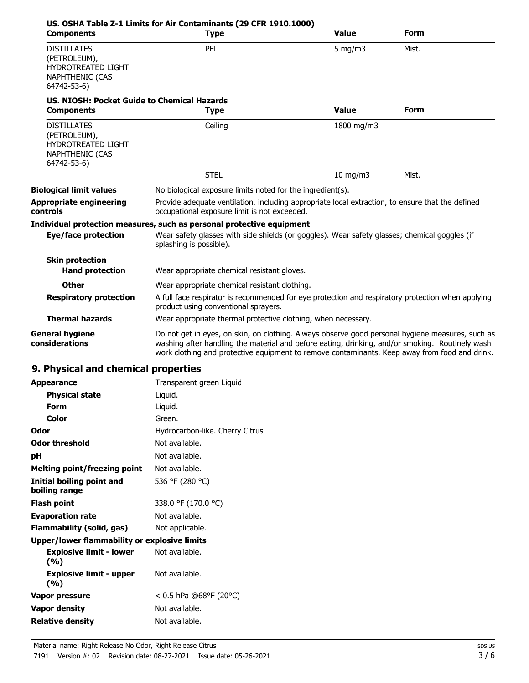| <b>Components</b>                                                                                 | US. OSHA Table Z-1 Limits for Air Contaminants (29 CFR 1910.1000)<br><b>Type</b>                                                                                                                                                                                                                     | <b>Value</b>     | Form  |
|---------------------------------------------------------------------------------------------------|------------------------------------------------------------------------------------------------------------------------------------------------------------------------------------------------------------------------------------------------------------------------------------------------------|------------------|-------|
| <b>DISTILLATES</b><br>(PETROLEUM),<br>HYDROTREATED LIGHT<br><b>NAPHTHENIC (CAS</b><br>64742-53-6) | PEL                                                                                                                                                                                                                                                                                                  | $5 \text{ mg/m}$ | Mist. |
| US, NIOSH: Pocket Guide to Chemical Hazards<br><b>Components</b>                                  | <b>Type</b>                                                                                                                                                                                                                                                                                          | <b>Value</b>     | Form  |
| <b>DISTILLATES</b><br>(PETROLEUM),<br>HYDROTREATED LIGHT<br><b>NAPHTHENIC (CAS</b><br>64742-53-6) | Ceiling                                                                                                                                                                                                                                                                                              | 1800 mg/m3       |       |
|                                                                                                   | <b>STEL</b>                                                                                                                                                                                                                                                                                          | $10$ mg/m $3$    | Mist. |
| <b>Biological limit values</b>                                                                    | No biological exposure limits noted for the ingredient(s).                                                                                                                                                                                                                                           |                  |       |
| <b>Appropriate engineering</b><br>controls                                                        | Provide adequate ventilation, including appropriate local extraction, to ensure that the defined<br>occupational exposure limit is not exceeded.                                                                                                                                                     |                  |       |
|                                                                                                   | Individual protection measures, such as personal protective equipment                                                                                                                                                                                                                                |                  |       |
| <b>Eye/face protection</b>                                                                        | Wear safety glasses with side shields (or goggles). Wear safety glasses; chemical goggles (if<br>splashing is possible).                                                                                                                                                                             |                  |       |
| <b>Skin protection</b><br><b>Hand protection</b>                                                  | Wear appropriate chemical resistant gloves.                                                                                                                                                                                                                                                          |                  |       |
| <b>Other</b>                                                                                      | Wear appropriate chemical resistant clothing.                                                                                                                                                                                                                                                        |                  |       |
| <b>Respiratory protection</b>                                                                     | A full face respirator is recommended for eye protection and respiratory protection when applying<br>product using conventional sprayers.                                                                                                                                                            |                  |       |
| <b>Thermal hazards</b>                                                                            | Wear appropriate thermal protective clothing, when necessary.                                                                                                                                                                                                                                        |                  |       |
| <b>General hygiene</b><br>considerations                                                          | Do not get in eyes, on skin, on clothing. Always observe good personal hygiene measures, such as<br>washing after handling the material and before eating, drinking, and/or smoking. Routinely wash<br>work clothing and protective equipment to remove contaminants. Keep away from food and drink. |                  |       |
| 9. Physical and chemical properties                                                               |                                                                                                                                                                                                                                                                                                      |                  |       |
| <b>Appearance</b>                                                                                 | Transparent green Liquid                                                                                                                                                                                                                                                                             |                  |       |
| <b>Physical state</b>                                                                             | Liquid.                                                                                                                                                                                                                                                                                              |                  |       |
| Form                                                                                              | Liquid.                                                                                                                                                                                                                                                                                              |                  |       |
| <b>Color</b>                                                                                      | Green.                                                                                                                                                                                                                                                                                               |                  |       |
| <b>Odor</b>                                                                                       | Hydrocarbon-like. Cherry Citrus                                                                                                                                                                                                                                                                      |                  |       |
| <b>Odor threshold</b>                                                                             | Not available.                                                                                                                                                                                                                                                                                       |                  |       |
| pH                                                                                                | Not available.                                                                                                                                                                                                                                                                                       |                  |       |
| <b>Melting point/freezing point</b>                                                               | Not available.                                                                                                                                                                                                                                                                                       |                  |       |
| <b>Initial boiling point and</b><br>boiling range                                                 | 536 °F (280 °C)                                                                                                                                                                                                                                                                                      |                  |       |

| Flash point             | 338.0 °F (170.0 °C) |
|-------------------------|---------------------|
| <b>Evaporation rate</b> | Not available.      |

# **Flammability (solid, gas)** Not applicable.

## **Upper/lower flammability or explosive limits**

| <b>Explosive limit - lower</b><br>(%) | Not available.           |
|---------------------------------------|--------------------------|
| <b>Explosive limit - upper</b><br>(%) | Not available.           |
| Vapor pressure                        | $< 0.5$ hPa @68°F (20°C) |
| Vapor density                         | Not available.           |
| <b>Relative density</b>               | Not available.           |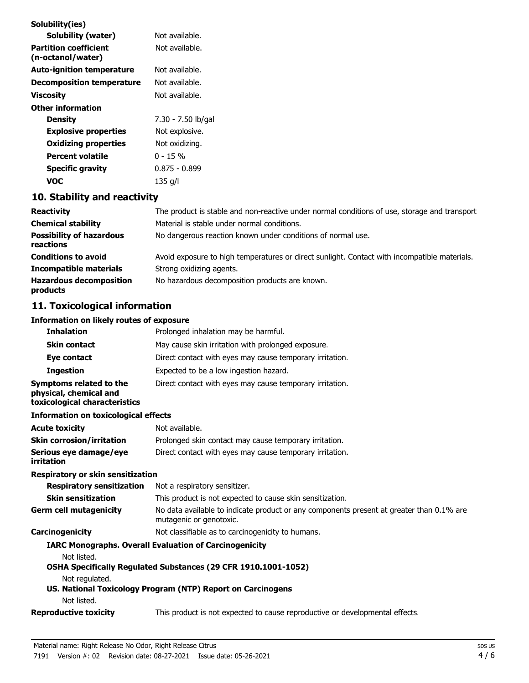| Solubility(ies)                                   |                    |
|---------------------------------------------------|--------------------|
| Solubility (water)                                | Not available.     |
| <b>Partition coefficient</b><br>(n-octanol/water) | Not available.     |
| <b>Auto-ignition temperature</b>                  | Not available.     |
| <b>Decomposition temperature</b>                  | Not available.     |
| <b>Viscosity</b>                                  | Not available.     |
| Other information                                 |                    |
| <b>Density</b>                                    | 7.30 - 7.50 lb/gal |
| <b>Explosive properties</b>                       | Not explosive.     |
| <b>Oxidizing properties</b>                       | Not oxidizing.     |
| Percent volatile                                  | በ - 15 %           |
| <b>Specific gravity</b>                           | 0.875 - 0.899      |
| voc                                               | 135 g/l            |

# **10. Stability and reactivity**

| <b>Reactivity</b>                            | The product is stable and non-reactive under normal conditions of use, storage and transport |
|----------------------------------------------|----------------------------------------------------------------------------------------------|
| <b>Chemical stability</b>                    | Material is stable under normal conditions.                                                  |
| <b>Possibility of hazardous</b><br>reactions | No dangerous reaction known under conditions of normal use.                                  |
| <b>Conditions to avoid</b>                   | Avoid exposure to high temperatures or direct sunlight. Contact with incompatible materials. |
| <b>Incompatible materials</b>                | Strong oxidizing agents.                                                                     |
| <b>Hazardous decomposition</b><br>products   | No hazardous decomposition products are known.                                               |

# **11. Toxicological information**

# **Information on likely routes of exposure**

| <b>Inhalation</b>                                                                  | Prolonged inhalation may be harmful.                                                                                |
|------------------------------------------------------------------------------------|---------------------------------------------------------------------------------------------------------------------|
| <b>Skin contact</b>                                                                | May cause skin irritation with prolonged exposure.                                                                  |
| Eye contact                                                                        | Direct contact with eyes may cause temporary irritation.                                                            |
| <b>Ingestion</b>                                                                   | Expected to be a low ingestion hazard.                                                                              |
| Symptoms related to the<br>physical, chemical and<br>toxicological characteristics | Direct contact with eyes may cause temporary irritation.                                                            |
| <b>Information on toxicological effects</b>                                        |                                                                                                                     |
| <b>Acute toxicity</b>                                                              | Not available.                                                                                                      |
| <b>Skin corrosion/irritation</b>                                                   | Prolonged skin contact may cause temporary irritation.                                                              |
| Serious eye damage/eye<br>irritation                                               | Direct contact with eyes may cause temporary irritation.                                                            |
| <b>Respiratory or skin sensitization</b>                                           |                                                                                                                     |
| <b>Respiratory sensitization</b>                                                   | Not a respiratory sensitizer.                                                                                       |
| <b>Skin sensitization</b>                                                          | This product is not expected to cause skin sensitization.                                                           |
| <b>Germ cell mutagenicity</b>                                                      | No data available to indicate product or any components present at greater than 0.1% are<br>mutagenic or genotoxic. |
| Carcinogenicity                                                                    | Not classifiable as to carcinogenicity to humans.                                                                   |
|                                                                                    | <b>IARC Monographs. Overall Evaluation of Carcinogenicity</b>                                                       |
| Not listed.                                                                        |                                                                                                                     |
|                                                                                    | OSHA Specifically Regulated Substances (29 CFR 1910.1001-1052)                                                      |
| Not regulated.                                                                     |                                                                                                                     |
| Not listed.                                                                        | US. National Toxicology Program (NTP) Report on Carcinogens                                                         |
| <b>Reproductive toxicity</b>                                                       | This product is not expected to cause reproductive or developmental effects                                         |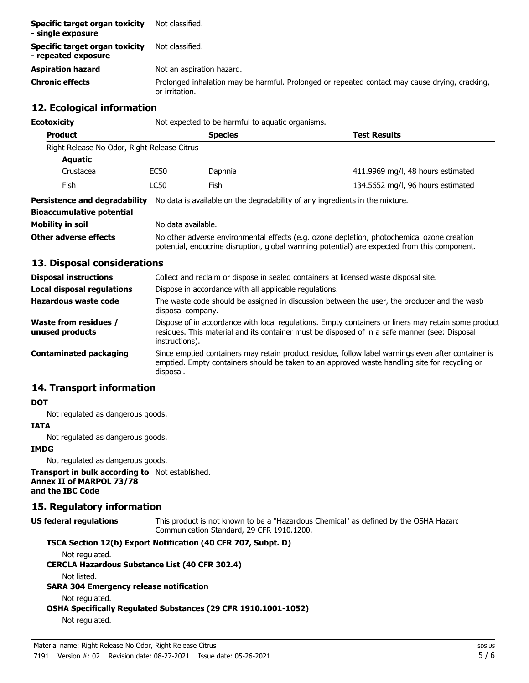| Specific target organ toxicity<br>- single exposure   | Not classified.                                                                                                  |
|-------------------------------------------------------|------------------------------------------------------------------------------------------------------------------|
| Specific target organ toxicity<br>- repeated exposure | Not classified.                                                                                                  |
| <b>Aspiration hazard</b>                              | Not an aspiration hazard.                                                                                        |
| <b>Chronic effects</b>                                | Prolonged inhalation may be harmful. Prolonged or repeated contact may cause drying, cracking,<br>or irritation. |

## **12. Ecological information**

| Ecotoxicity                                 |      | Not expected to be harmful to aquatic organisms.                                                                                                                                           |                                                                              |  |
|---------------------------------------------|------|--------------------------------------------------------------------------------------------------------------------------------------------------------------------------------------------|------------------------------------------------------------------------------|--|
| <b>Product</b>                              |      | <b>Species</b><br><b>Test Results</b>                                                                                                                                                      |                                                                              |  |
| Right Release No Odor, Right Release Citrus |      |                                                                                                                                                                                            |                                                                              |  |
| Aquatic                                     |      |                                                                                                                                                                                            |                                                                              |  |
| Crustacea                                   | EC50 | Daphnia                                                                                                                                                                                    | 411.9969 mg/l, 48 hours estimated                                            |  |
| <b>Fish</b>                                 | LC50 | Fish                                                                                                                                                                                       | 134.5652 mg/l, 96 hours estimated                                            |  |
| Persistence and degradability               |      |                                                                                                                                                                                            | No data is available on the degradability of any ingredients in the mixture. |  |
| <b>Bioaccumulative potential</b>            |      |                                                                                                                                                                                            |                                                                              |  |
| Mobility in soil                            |      | No data available.                                                                                                                                                                         |                                                                              |  |
| Other adverse effects                       |      | No other adverse environmental effects (e.g. ozone depletion, photochemical ozone creation<br>potential, endocrine disruption, global warming potential) are expected from this component. |                                                                              |  |

## **13. Disposal considerations**

| <b>Disposal instructions</b>                    | Collect and reclaim or dispose in sealed containers at licensed waste disposal site.                                                                                                                                   |
|-------------------------------------------------|------------------------------------------------------------------------------------------------------------------------------------------------------------------------------------------------------------------------|
| <b>Local disposal regulations</b>               | Dispose in accordance with all applicable regulations.                                                                                                                                                                 |
| Hazardous waste code                            | The waste code should be assigned in discussion between the user, the producer and the waste<br>disposal company.                                                                                                      |
| <b>Waste from residues /</b><br>unused products | Dispose of in accordance with local regulations. Empty containers or liners may retain some product<br>residues. This material and its container must be disposed of in a safe manner (see: Disposal<br>instructions). |
| <b>Contaminated packaging</b>                   | Since emptied containers may retain product residue, follow label warnings even after container is<br>emptied. Empty containers should be taken to an approved waste handling site for recycling or<br>disposal.       |

## **14. Transport information**

#### **DOT**

Not regulated as dangerous goods.

### **IATA**

Not regulated as dangerous goods.

## **IMDG**

Not regulated as dangerous goods.

**Transport in bulk according to** Not established. **Annex II of MARPOL 73/78 and the IBC Code**

## **15. Regulatory information**

This product is not known to be a "Hazardous Chemical" as defined by the OSHA Hazard Communication Standard, 29 CFR 1910.1200. **US federal regulations**

## **TSCA Section 12(b) Export Notification (40 CFR 707, Subpt. D)**

Not regulated.

**CERCLA Hazardous Substance List (40 CFR 302.4)**

Not listed.

**SARA 304 Emergency release notification**

Not regulated.

```
OSHA Specifically Regulated Substances (29 CFR 1910.1001-1052)
```
Not regulated.